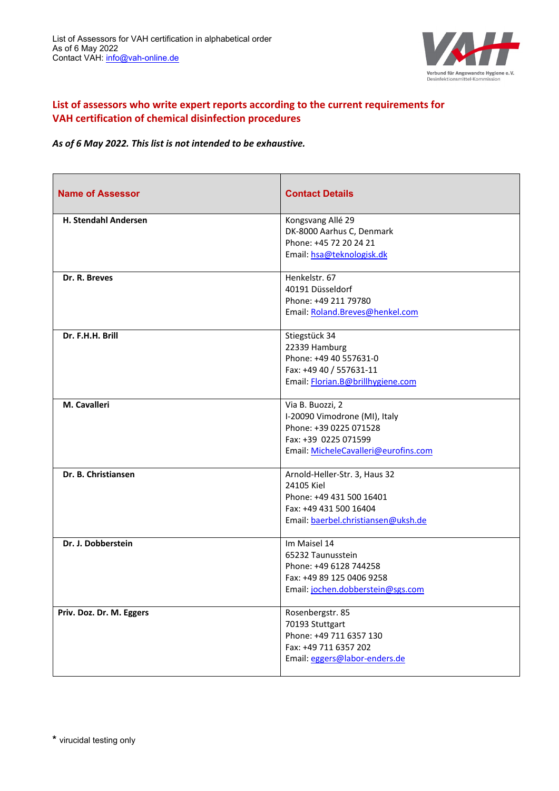

## **List of assessors who write expert reports according to the current requirements for VAH certification of chemical disinfection procedures**

*As of 6 May 2022. This list is not intended to be exhaustive.*

| <b>Name of Assessor</b>  | <b>Contact Details</b>                                                                                                                      |
|--------------------------|---------------------------------------------------------------------------------------------------------------------------------------------|
| H. Stendahl Andersen     | Kongsvang Allé 29<br>DK-8000 Aarhus C, Denmark<br>Phone: +45 72 20 24 21<br>Email: hsa@teknologisk.dk                                       |
| Dr. R. Breves            | Henkelstr. 67<br>40191 Düsseldorf<br>Phone: +49 211 79780<br>Email: Roland.Breves@henkel.com                                                |
| Dr. F.H.H. Brill         | Stiegstück 34<br>22339 Hamburg<br>Phone: +49 40 557631-0<br>Fax: +49 40 / 557631-11<br>Email: Florian.B@brillhygiene.com                    |
| M. Cavalleri             | Via B. Buozzi, 2<br>I-20090 Vimodrone (MI), Italy<br>Phone: +39 0225 071528<br>Fax: +39 0225 071599<br>Email: MicheleCavalleri@eurofins.com |
| Dr. B. Christiansen      | Arnold-Heller-Str. 3, Haus 32<br>24105 Kiel<br>Phone: +49 431 500 16401<br>Fax: +49 431 500 16404<br>Email: baerbel.christiansen@uksh.de    |
| Dr. J. Dobberstein       | Im Maisel 14<br>65232 Taunusstein<br>Phone: +49 6128 744258<br>Fax: +49 89 125 0406 9258<br>Email: jochen.dobberstein@sgs.com               |
| Priv. Doz. Dr. M. Eggers | Rosenbergstr. 85<br>70193 Stuttgart<br>Phone: +49 711 6357 130<br>Fax: +49 711 6357 202<br>Email: eggers@labor-enders.de                    |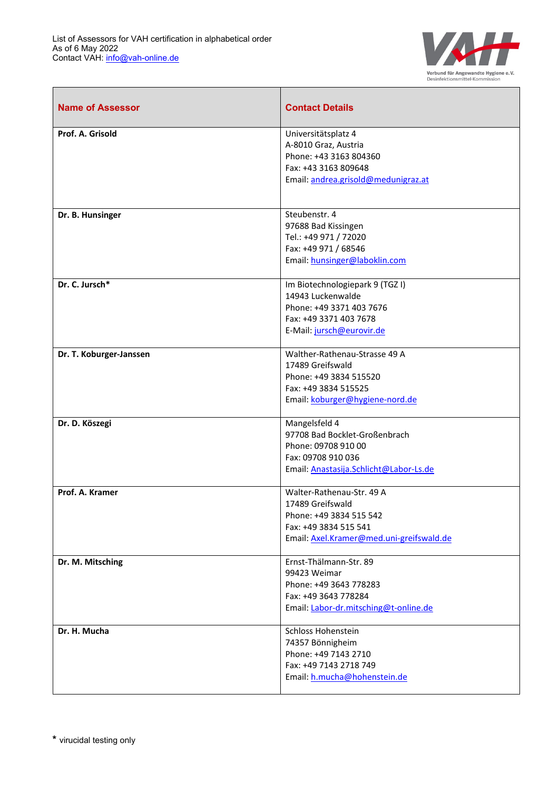$\mathbf{r}$ 



| <b>Name of Assessor</b> | <b>Contact Details</b>                                                                                                                        |
|-------------------------|-----------------------------------------------------------------------------------------------------------------------------------------------|
| Prof. A. Grisold        | Universitätsplatz 4<br>A-8010 Graz, Austria<br>Phone: +43 3163 804360<br>Fax: +43 3163 809648<br>Email: andrea.grisold@medunigraz.at          |
| Dr. B. Hunsinger        | Steubenstr. 4<br>97688 Bad Kissingen<br>Tel.: +49 971 / 72020<br>Fax: +49 971 / 68546<br>Email: hunsinger@laboklin.com                        |
| Dr. C. Jursch*          | Im Biotechnologiepark 9 (TGZ I)<br>14943 Luckenwalde<br>Phone: +49 3371 403 7676<br>Fax: +49 3371 403 7678<br>E-Mail: jursch@eurovir.de       |
| Dr. T. Koburger-Janssen | Walther-Rathenau-Strasse 49 A<br>17489 Greifswald<br>Phone: +49 3834 515520<br>Fax: +49 3834 515525<br>Email: koburger@hygiene-nord.de        |
| Dr. D. Köszegi          | Mangelsfeld 4<br>97708 Bad Bocklet-Großenbrach<br>Phone: 09708 910 00<br>Fax: 09708 910 036<br>Email: Anastasija.Schlicht@Labor-Ls.de         |
| Prof. A. Kramer         | Walter-Rathenau-Str. 49 A<br>17489 Greifswald<br>Phone: +49 3834 515 542<br>Fax: +49 3834 515 541<br>Email: Axel.Kramer@med.uni-greifswald.de |
| Dr. M. Mitsching        | Ernst-Thälmann-Str. 89<br>99423 Weimar<br>Phone: +49 3643 778283<br>Fax: +49 3643 778284<br>Email: Labor-dr.mitsching@t-online.de             |
| Dr. H. Mucha            | Schloss Hohenstein<br>74357 Bönnigheim<br>Phone: +49 7143 2710<br>Fax: +49 7143 2718 749<br>Email: h.mucha@hohenstein.de                      |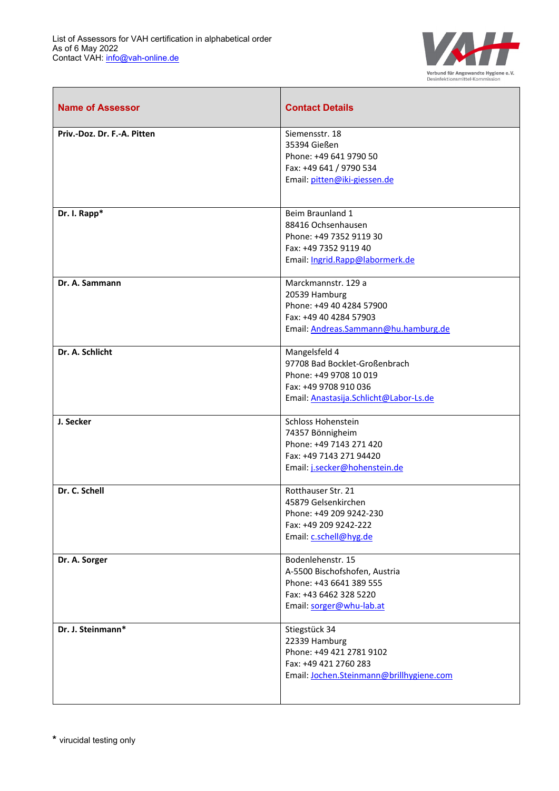$\mathbf{r}$ 



| <b>Name of Assessor</b>     | <b>Contact Details</b>                                                                                                                      |
|-----------------------------|---------------------------------------------------------------------------------------------------------------------------------------------|
| Priv.-Doz. Dr. F.-A. Pitten | Siemensstr. 18<br>35394 Gießen<br>Phone: +49 641 9790 50<br>Fax: +49 641 / 9790 534<br>Email: pitten@iki-giessen.de                         |
| Dr. I. Rapp*                | Beim Braunland 1<br>88416 Ochsenhausen<br>Phone: +49 7352 9119 30<br>Fax: +49 7352 9119 40<br>Email: Ingrid.Rapp@labormerk.de               |
| Dr. A. Sammann              | Marckmannstr. 129 a<br>20539 Hamburg<br>Phone: +49 40 4284 57900<br>Fax: +49 40 4284 57903<br>Email: Andreas.Sammann@hu.hamburg.de          |
| Dr. A. Schlicht             | Mangelsfeld 4<br>97708 Bad Bocklet-Großenbrach<br>Phone: +49 9708 10 019<br>Fax: +49 9708 910 036<br>Email: Anastasija.Schlicht@Labor-Ls.de |
| J. Secker                   | Schloss Hohenstein<br>74357 Bönnigheim<br>Phone: +49 7143 271 420<br>Fax: +49 7143 271 94420<br>Email: j.secker@hohenstein.de               |
| Dr. C. Schell               | Rotthauser Str. 21<br>45879 Gelsenkirchen<br>Phone: +49 209 9242-230<br>Fax: +49 209 9242-222<br>Email: c.schell@hyg.de                     |
| Dr. A. Sorger               | Bodenlehenstr. 15<br>A-5500 Bischofshofen, Austria<br>Phone: +43 6641 389 555<br>Fax: +43 6462 328 5220<br>Email: sorger@whu-lab.at         |
| Dr. J. Steinmann*           | Stiegstück 34<br>22339 Hamburg<br>Phone: +49 421 2781 9102<br>Fax: +49 421 2760 283<br>Email: Jochen.Steinmann@brillhygiene.com             |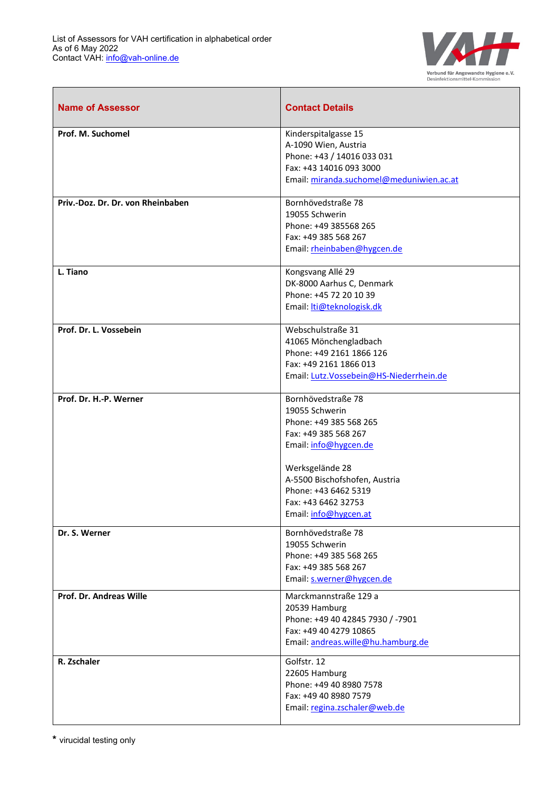$\mathbf{r}$ 



| <b>Name of Assessor</b>           | <b>Contact Details</b>                                                                                                                                                                                                                      |
|-----------------------------------|---------------------------------------------------------------------------------------------------------------------------------------------------------------------------------------------------------------------------------------------|
| Prof. M. Suchomel                 | Kinderspitalgasse 15<br>A-1090 Wien, Austria<br>Phone: +43 / 14016 033 031<br>Fax: +43 14016 093 3000<br>Email: miranda.suchomel@meduniwien.ac.at                                                                                           |
| Priv.-Doz. Dr. Dr. von Rheinbaben | Bornhövedstraße 78<br>19055 Schwerin<br>Phone: +49 385568 265<br>Fax: +49 385 568 267<br>Email: rheinbaben@hygcen.de                                                                                                                        |
| L. Tiano                          | Kongsvang Allé 29<br>DK-8000 Aarhus C, Denmark<br>Phone: +45 72 20 10 39<br>Email: <i>Iti@teknologisk.dk</i>                                                                                                                                |
| Prof. Dr. L. Vossebein            | Webschulstraße 31<br>41065 Mönchengladbach<br>Phone: +49 2161 1866 126<br>Fax: +49 2161 1866 013<br>Email: Lutz.Vossebein@HS-Niederrhein.de                                                                                                 |
| Prof. Dr. H.-P. Werner            | Bornhövedstraße 78<br>19055 Schwerin<br>Phone: +49 385 568 265<br>Fax: +49 385 568 267<br>Email: info@hygcen.de<br>Werksgelände 28<br>A-5500 Bischofshofen, Austria<br>Phone: +43 6462 5319<br>Fax: +43 6462 32753<br>Email: info@hygcen.at |
| Dr. S. Werner                     | Bornhövedstraße 78<br>19055 Schwerin<br>Phone: +49 385 568 265<br>Fax: +49 385 568 267<br>Email: s.werner@hygcen.de                                                                                                                         |
| Prof. Dr. Andreas Wille           | Marckmannstraße 129 a<br>20539 Hamburg<br>Phone: +49 40 42845 7930 / -7901<br>Fax: +49 40 4279 10865<br>Email: andreas.wille@hu.hamburg.de                                                                                                  |
| R. Zschaler                       | Golfstr. 12<br>22605 Hamburg<br>Phone: +49 40 8980 7578<br>Fax: +49 40 8980 7579<br>Email: regina.zschaler@web.de                                                                                                                           |

**\*** virucidal testing only